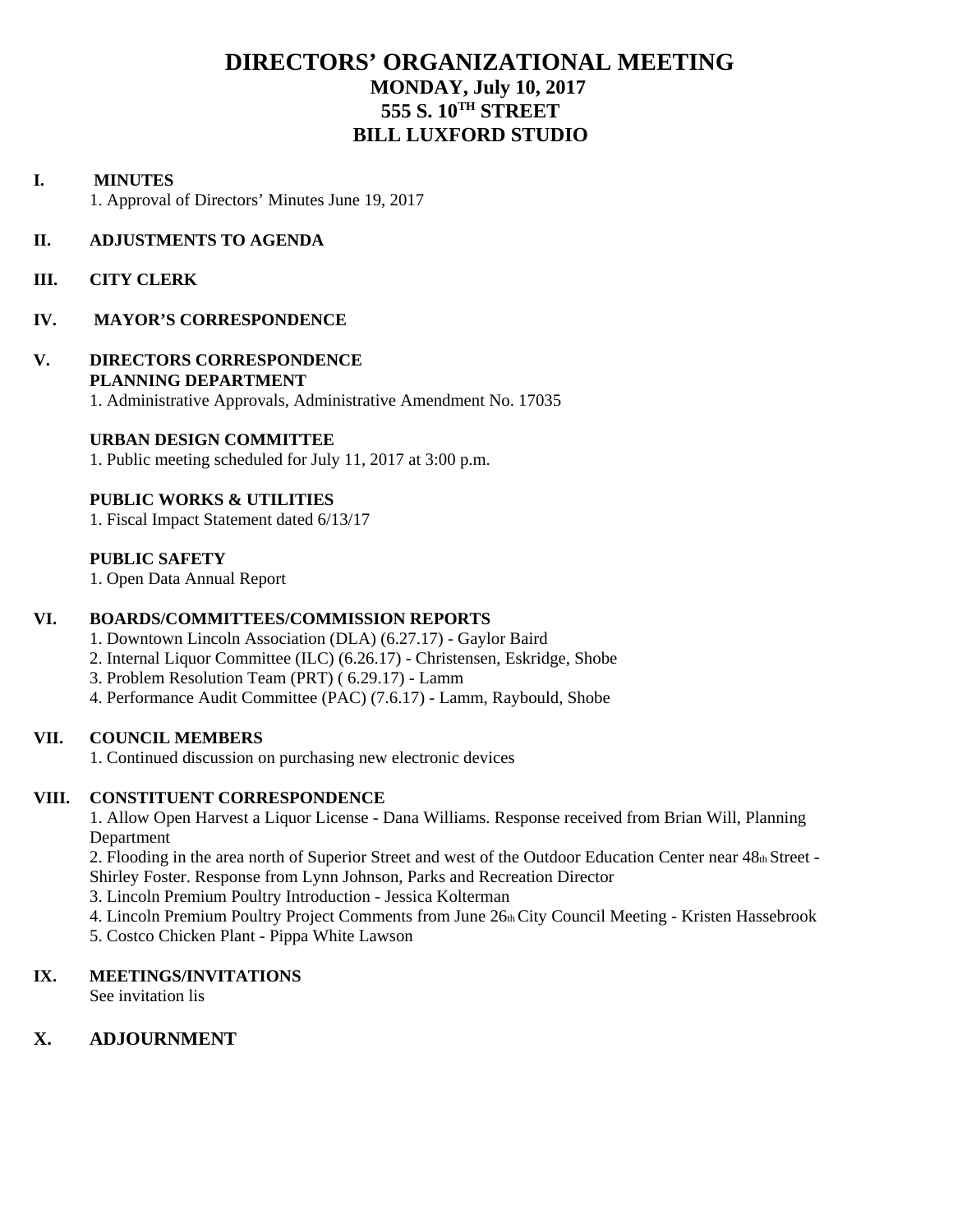## **DIRECTORS' ORGANIZATIONAL MEETING MONDAY, July 10, 2017 555 S. 10TH STREET BILL LUXFORD STUDIO**

#### **I. MINUTES**

1. Approval of Directors' Minutes June 19, 2017

#### **II. ADJUSTMENTS TO AGENDA**

**III. CITY CLERK**

#### **IV. MAYOR'S CORRESPONDENCE**

## **V. DIRECTORS CORRESPONDENCE PLANNING DEPARTMENT**

1. Administrative Approvals, Administrative Amendment No. 17035

#### **URBAN DESIGN COMMITTEE**

1. Public meeting scheduled for July 11, 2017 at 3:00 p.m.

#### **PUBLIC WORKS & UTILITIES**

1. Fiscal Impact Statement dated 6/13/17

#### **PUBLIC SAFETY**

1. Open Data Annual Report

#### **VI. BOARDS/COMMITTEES/COMMISSION REPORTS**

- 1. Downtown Lincoln Association (DLA) (6.27.17) Gaylor Baird
- 2. Internal Liquor Committee (ILC) (6.26.17) Christensen, Eskridge, Shobe
- 3. Problem Resolution Team (PRT) ( 6.29.17) Lamm
- 4. Performance Audit Committee (PAC) (7.6.17) Lamm, Raybould, Shobe

#### **VII. COUNCIL MEMBERS**

1. Continued discussion on purchasing new electronic devices

#### **VIII. CONSTITUENT CORRESPONDENCE**

1. Allow Open Harvest a Liquor License - Dana Williams. Response received from Brian Will, Planning Department

2. Flooding in the area north of Superior Street and west of the Outdoor Education Center near 48th Street - Shirley Foster. Response from Lynn Johnson, Parks and Recreation Director

3. Lincoln Premium Poultry Introduction - Jessica Kolterman

- 4. Lincoln Premium Poultry Project Comments from June 26th City Council Meeting Kristen Hassebrook
- 5. Costco Chicken Plant Pippa White Lawson

#### **IX. MEETINGS/INVITATIONS**

See invitation lis

## **X. ADJOURNMENT**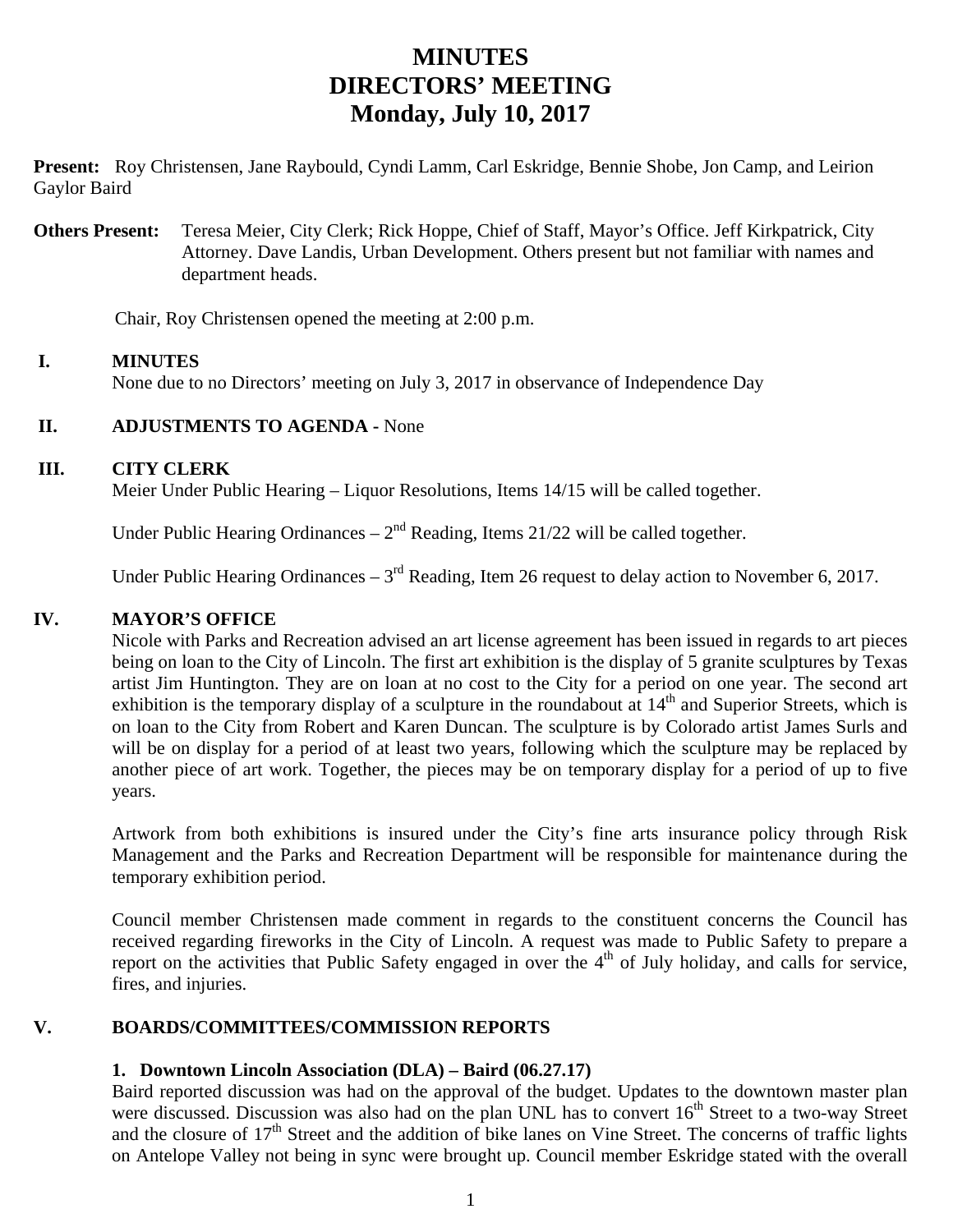# **MINUTES DIRECTORS' MEETING Monday, July 10, 2017**

**Present:** Roy Christensen, Jane Raybould, Cyndi Lamm, Carl Eskridge, Bennie Shobe, Jon Camp, and Leirion Gaylor Baird

**Others Present:** Teresa Meier, City Clerk; Rick Hoppe, Chief of Staff, Mayor's Office. Jeff Kirkpatrick, City Attorney. Dave Landis, Urban Development. Others present but not familiar with names and department heads.

Chair, Roy Christensen opened the meeting at 2:00 p.m.

#### **I. MINUTES**

None due to no Directors' meeting on July 3, 2017 in observance of Independence Day

#### **II. ADJUSTMENTS TO AGENDA -** None

#### **III. CITY CLERK**

Meier Under Public Hearing – Liquor Resolutions, Items 14/15 will be called together.

Under Public Hearing Ordinances –  $2<sup>nd</sup>$  Reading, Items 21/22 will be called together.

Under Public Hearing Ordinances –  $3<sup>rd</sup>$  Reading, Item 26 request to delay action to November 6, 2017.

#### **IV. MAYOR'S OFFICE**

Nicole with Parks and Recreation advised an art license agreement has been issued in regards to art pieces being on loan to the City of Lincoln. The first art exhibition is the display of 5 granite sculptures by Texas artist Jim Huntington. They are on loan at no cost to the City for a period on one year. The second art exhibition is the temporary display of a sculpture in the roundabout at  $14<sup>th</sup>$  and Superior Streets, which is on loan to the City from Robert and Karen Duncan. The sculpture is by Colorado artist James Surls and will be on display for a period of at least two years, following which the sculpture may be replaced by another piece of art work. Together, the pieces may be on temporary display for a period of up to five years.

Artwork from both exhibitions is insured under the City's fine arts insurance policy through Risk Management and the Parks and Recreation Department will be responsible for maintenance during the temporary exhibition period.

Council member Christensen made comment in regards to the constituent concerns the Council has received regarding fireworks in the City of Lincoln. A request was made to Public Safety to prepare a report on the activities that Public Safety engaged in over the  $4<sup>th</sup>$  of July holiday, and calls for service, fires, and injuries.

## **V. BOARDS/COMMITTEES/COMMISSION REPORTS**

#### **1. Downtown Lincoln Association (DLA) – Baird (06.27.17)**

 Baird reported discussion was had on the approval of the budget. Updates to the downtown master plan were discussed. Discussion was also had on the plan UNL has to convert 16<sup>th</sup> Street to a two-way Street and the closure of 17<sup>th</sup> Street and the addition of bike lanes on Vine Street. The concerns of traffic lights on Antelope Valley not being in sync were brought up. Council member Eskridge stated with the overall